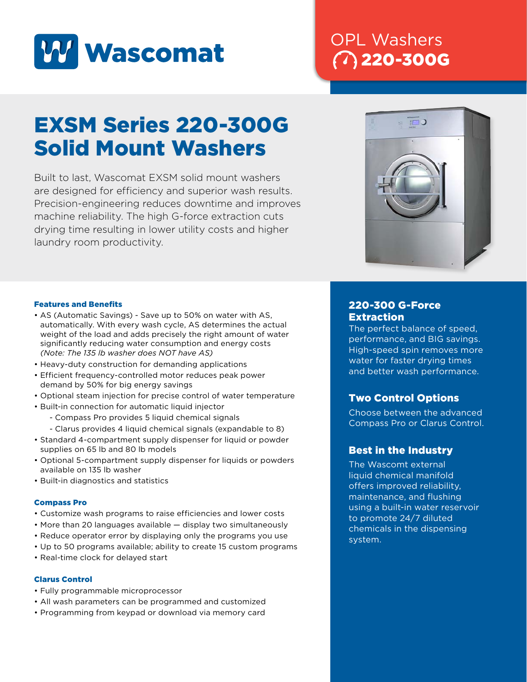

## OPL Washers 220-300G

# EXSM Series 220-300G Solid Mount Washers

Built to last, Wascomat EXSM solid mount washers are designed for efficiency and superior wash results. Precision-engineering reduces downtime and improves machine reliability. The high G-force extraction cuts drying time resulting in lower utility costs and higher laundry room productivity.



### Features and Benefits

- AS (Automatic Savings) Save up to 50% on water with AS, automatically. With every wash cycle, AS determines the actual weight of the load and adds precisely the right amount of water significantly reducing water consumption and energy costs *(Note: The 135 lb washer does NOT have AS)*
- Heavy-duty construction for demanding applications
- Efficient frequency-controlled motor reduces peak power demand by 50% for big energy savings
- Optional steam injection for precise control of water temperature
- Built-in connection for automatic liquid injector
	- Compass Pro provides 5 liquid chemical signals
	- Clarus provides 4 liquid chemical signals (expandable to 8)
- Standard 4-compartment supply dispenser for liquid or powder supplies on 65 lb and 80 lb models
- Optional 5-compartment supply dispenser for liquids or powders available on 135 lb washer
- Built-in diagnostics and statistics

#### Compass Pro

- Customize wash programs to raise efficiencies and lower costs
- More than 20 languages available display two simultaneously
- Reduce operator error by displaying only the programs you use
- Up to 50 programs available; ability to create 15 custom programs
- Real-time clock for delayed start

#### Clarus Control

- Fully programmable microprocessor
- All wash parameters can be programmed and customized
- Programming from keypad or download via memory card

## 220-300 G-Force **Extraction**

The perfect balance of speed, performance, and BIG savings. High-speed spin removes more water for faster drying times and better wash performance.

## Two Control Options

Choose between the advanced Compass Pro or Clarus Control.

## Best in the Industry

The Wascomt external liquid chemical manifold offers improved reliability, maintenance, and flushing using a built-in water reservoir to promote 24/7 diluted chemicals in the dispensing system.